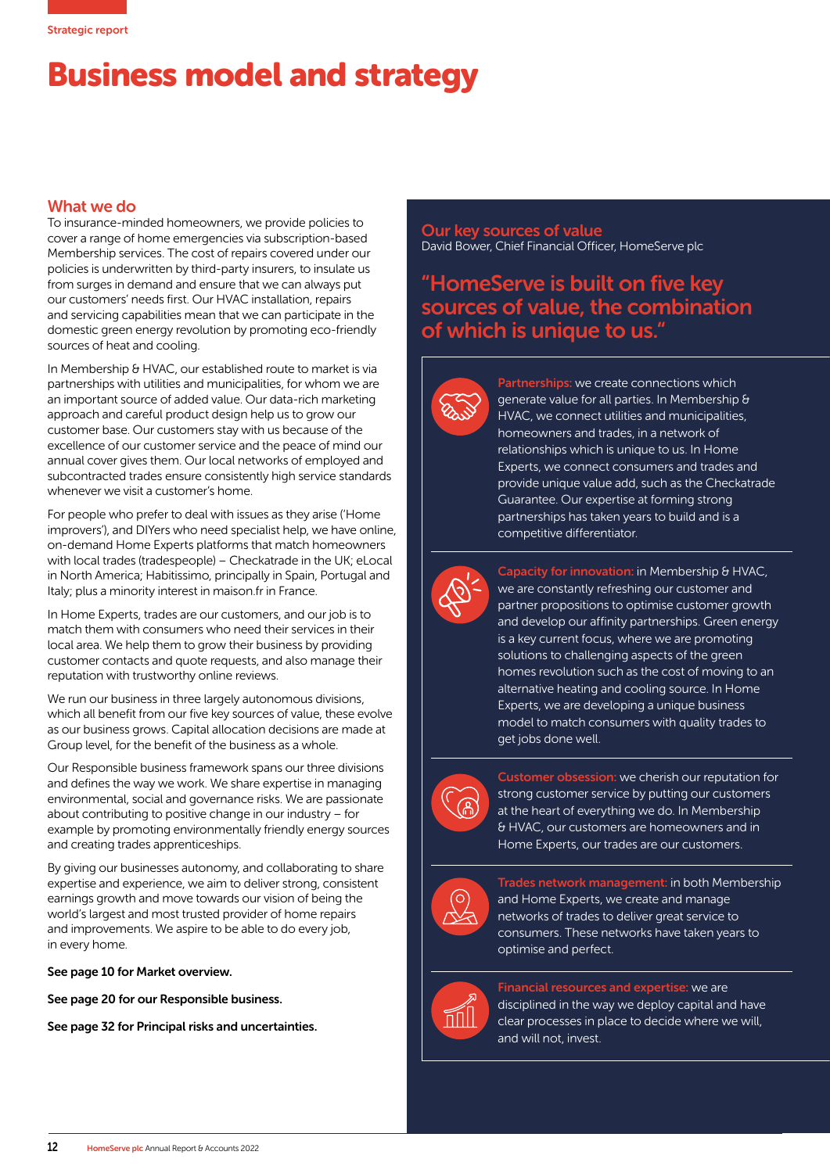## Business model and strategy

## What we do

To insurance-minded homeowners, we provide policies to cover a range of home emergencies via subscription-based Membership services. The cost of repairs covered under our policies is underwritten by third-party insurers, to insulate us from surges in demand and ensure that we can always put our customers' needs first. Our HVAC installation, repairs and servicing capabilities mean that we can participate in the domestic green energy revolution by promoting eco-friendly sources of heat and cooling.

In Membership & HVAC, our established route to market is via partnerships with utilities and municipalities, for whom we are an important source of added value. Our data-rich marketing approach and careful product design help us to grow our customer base. Our customers stay with us because of the excellence of our customer service and the peace of mind our annual cover gives them. Our local networks of employed and subcontracted trades ensure consistently high service standards whenever we visit a customer's home.

For people who prefer to deal with issues as they arise ('Home improvers'), and DIYers who need specialist help, we have online, on-demand Home Experts platforms that match homeowners with local trades (tradespeople) – Checkatrade in the UK; eLocal in North America; Habitissimo, principally in Spain, Portugal and Italy; plus a minority interest in maison.fr in France.

In Home Experts, trades are our customers, and our job is to match them with consumers who need their services in their local area. We help them to grow their business by providing customer contacts and quote requests, and also manage their reputation with trustworthy online reviews.

We run our business in three largely autonomous divisions, which all benefit from our five key sources of value, these evolve as our business grows. Capital allocation decisions are made at Group level, for the benefit of the business as a whole.

Our Responsible business framework spans our three divisions and defines the way we work. We share expertise in managing environmental, social and governance risks. We are passionate about contributing to positive change in our industry – for example by promoting environmentally friendly energy sources and creating trades apprenticeships.

By giving our businesses autonomy, and collaborating to share expertise and experience, we aim to deliver strong, consistent earnings growth and move towards our vision of being the world's largest and most trusted provider of home repairs and improvements. We aspire to be able to do every job, in every home.

## See page 10 for Market overview.

See page 20 for our Responsible business.

See page 32 for Principal risks and uncertainties.

Our key sources of value David Bower, Chief Financial Officer, HomeServe plc

## "HomeServe is built on five key sources of value, the combination of which is unique to us."



Partnerships: we create connections which generate value for all parties. In Membership & HVAC, we connect utilities and municipalities, homeowners and trades, in a network of relationships which is unique to us. In Home Experts, we connect consumers and trades and provide unique value add, such as the Checkatrade Guarantee. Our expertise at forming strong partnerships has taken years to build and is a competitive differentiator.



Capacity for innovation: in Membership & HVAC, we are constantly refreshing our customer and partner propositions to optimise customer growth and develop our affinity partnerships. Green energy is a key current focus, where we are promoting solutions to challenging aspects of the green homes revolution such as the cost of moving to an alternative heating and cooling source. In Home Experts, we are developing a unique business model to match consumers with quality trades to get jobs done well.



Customer obsession: we cherish our reputation for strong customer service by putting our customers at the heart of everything we do. In Membership & HVAC, our customers are homeowners and in Home Experts, our trades are our customers.



Trades network management: in both Membership and Home Experts, we create and manage networks of trades to deliver great service to consumers. These networks have taken years to optimise and perfect.



Financial resources and expertise: we are disciplined in the way we deploy capital and have clear processes in place to decide where we will, and will not, invest.